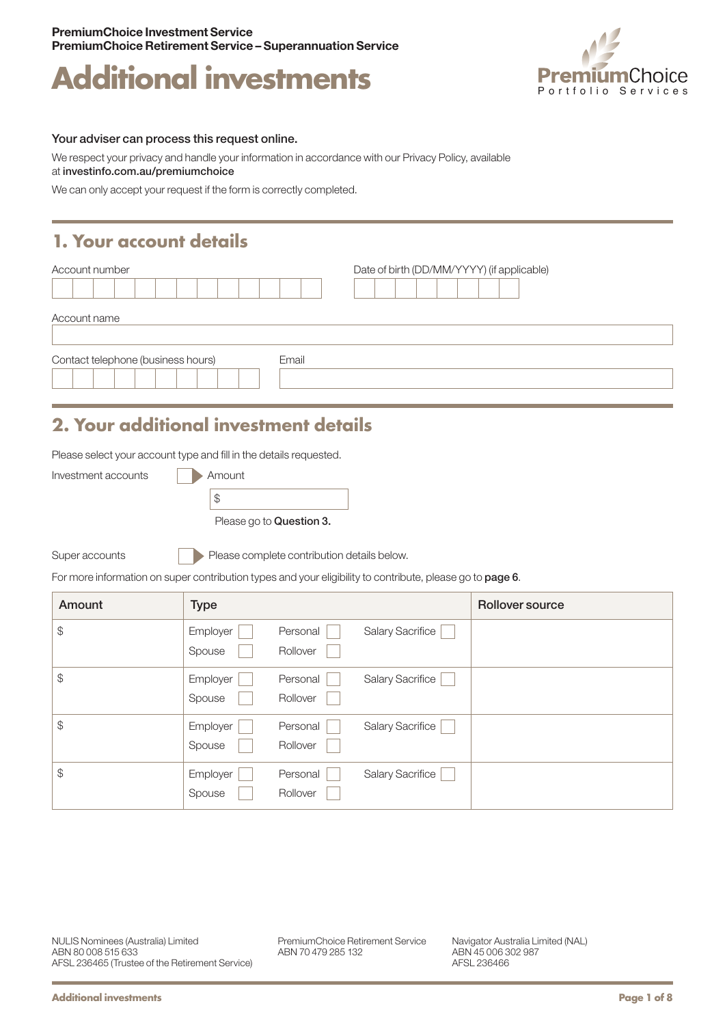



#### Your adviser can process this request online.

We respect your privacy and handle your information in accordance with our Privacy Policy, available at [investinfo.com.au/premiumchoice](http://investinfo.com.au/premiumchoice)

We can only accept your request if the form is correctly completed.

### **1. Your account details**

| Account number                              | Date of birth (DD/MM/YYYY) (if applicable) |  |  |
|---------------------------------------------|--------------------------------------------|--|--|
|                                             |                                            |  |  |
| Account name                                |                                            |  |  |
| Contact telephone (business hours)<br>Email |                                            |  |  |

## **2. Your additional investment details**

Please select your account type and fill in the details requested.

| Investment accounts | Amount                   |
|---------------------|--------------------------|
|                     |                          |
|                     | Please go to Question 3. |

Super accounts

Please complete contribution details below.

For more information on super contribution types and your eligibility to contribute, please go to page 6.

| Amount        | <b>Type</b>        |                      |                         | Rollover source |
|---------------|--------------------|----------------------|-------------------------|-----------------|
| $\frac{1}{2}$ | Employer<br>Spouse | Personal<br>Rollover | Salary Sacrifice        |                 |
| \$            | Employer<br>Spouse | Personal<br>Rollover | Salary Sacrifice        |                 |
| \$            | Employer<br>Spouse | Personal<br>Rollover | <b>Salary Sacrifice</b> |                 |
| \$            | Employer<br>Spouse | Personal<br>Rollover | Salary Sacrifice        |                 |

PremiumChoice Retirement Service ABN 70 479 285 132

Navigator Australia Limited (NAL) ABN 45 006 302 987 AFSL 236466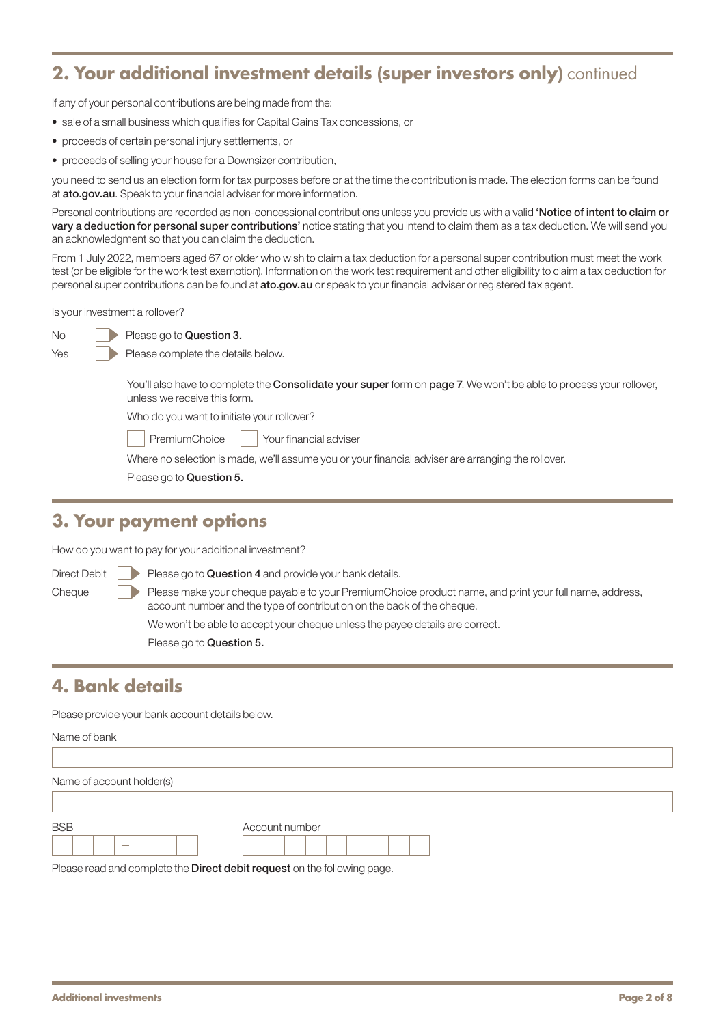### **2. Your additional investment details (super investors only)** continued

If any of your personal contributions are being made from the:

- sale of a small business which qualifies for Capital Gains Tax concessions, or
- proceeds of certain personal injury settlements, or
- proceeds of selling your house for a Downsizer contribution,

you need to send us an election form for tax purposes before or at the time the contribution is made. The election forms can be found at [ato.gov.au](http://ato.gov.au). Speak to your financial adviser for more information.

Personal contributions are recorded as non-concessional contributions unless you provide us with a valid 'Notice of intent to claim or vary a deduction for personal super contributions' notice stating that you intend to claim them as a tax deduction. We will send you an acknowledgment so that you can claim the deduction.

From 1 July 2022, members aged 67 or older who wish to claim a tax deduction for a personal super contribution must meet the work test (or be eligible for the work test exemption). Information on the work test requirement and other eligibility to claim a tax deduction for personal super contributions can be found at [ato.gov.au](http://ato.gov.au) or speak to your financial adviser or registered tax agent.

Is your investment a rollover?

Please go to Question 3.

Please complete the details below.

You'll also have to complete the **Consolidate your super** form on page 7. We won't be able to process your rollover, unless we receive this form.

Who do you want to initiate your rollover?

PremiumChoice | Your financial adviser

Where no selection is made, we'll assume you or your financial adviser are arranging the rollover.

Please go to Question 5.

#### **3. Your payment options**

How do you want to pay for your additional investment?

Direct Debit  $\|\cdot\|$  Please go to Question 4 and provide your bank details. Cheque Please make your cheque payable to your PremiumChoice product name, and print your full name, address, account number and the type of contribution on the back of the cheque. We won't be able to accept your cheque unless the payee details are correct.

Please go to Question 5.

### **4. Bank details**

Please provide your bank account details below.

#### Name of bank

| Name of account holder(s) |                |
|---------------------------|----------------|
|                           |                |
| <b>BSB</b>                | Account number |
| $\sim$                    |                |

Please read and complete the **Direct debit request** on the following page.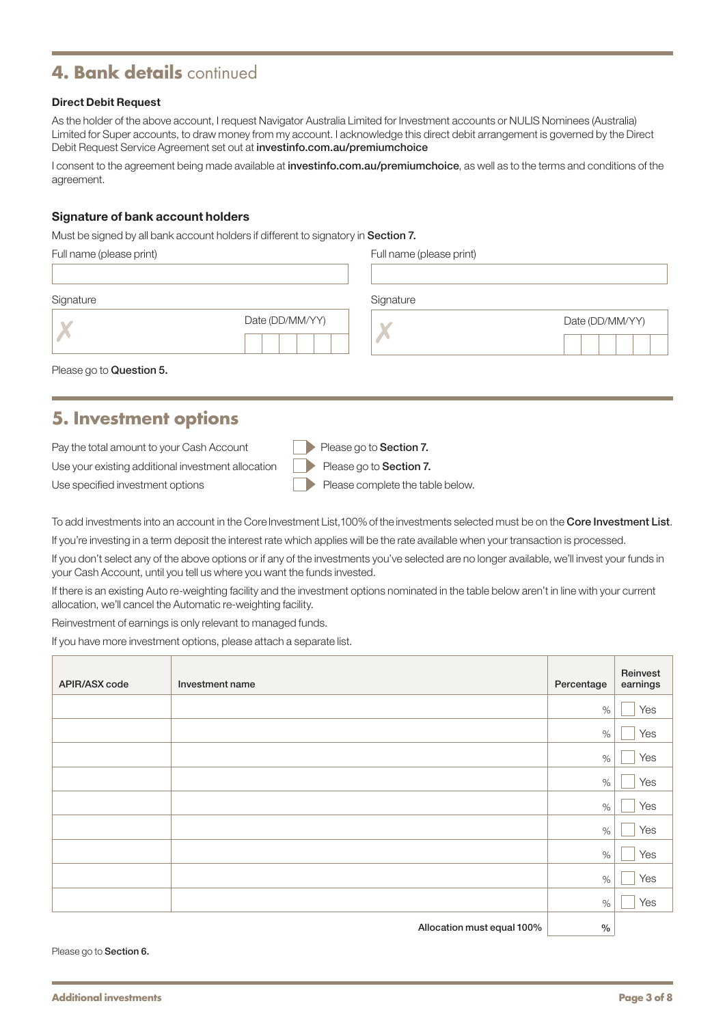### **4. Bank details** continued

#### Direct Debit Request

As the holder of the above account, I request Navigator Australia Limited for Investment accounts or NULIS Nominees (Australia) Limited for Super accounts, to draw money from my account. I acknowledge this direct debit arrangement is governed by the Direct Debit Request Service Agreement set out at [investinfo.com.au/premiumchoice](http://investinfo.com.au/premiumchoice)

I consent to the agreement being made available at [investinfo.com.au/premiumchoice](http://investinfo.com.au/premiumchoice), as well as to the terms and conditions of the agreement.

#### Signature of bank account holders

Must be signed by all bank account holders if different to signatory in Section 7.

| Full name (please print) |                 | Full name (please print) |                 |  |  |
|--------------------------|-----------------|--------------------------|-----------------|--|--|
| Signature                |                 | Signature                |                 |  |  |
|                          | Date (DD/MM/YY) |                          | Date (DD/MM/YY) |  |  |
|                          |                 |                          |                 |  |  |

Please go to Question 5.

### **5. Investment options**

| Pay the total amount to your Cash Account                                         | Please go to Section 7.          |
|-----------------------------------------------------------------------------------|----------------------------------|
| Use your existing additional investment allocation $\Box$ Please go to Section 7. |                                  |
| Use specified investment options                                                  | Please complete the table below. |

To add investments into an account in the Core Investment List, 100% of the investments selected must be on the Core Investment List. If you're investing in a term deposit the interest rate which applies will be the rate available when your transaction is processed.

If you don't select any of the above options or if any of the investments you've selected are no longer available, we'll invest your funds in your Cash Account, until you tell us where you want the funds invested.

If there is an existing Auto re-weighting facility and the investment options nominated in the table below aren't in line with your current allocation, we'll cancel the Automatic re-weighting facility.

Reinvestment of earnings is only relevant to managed funds.

If you have more investment options, please attach a separate list.

| APIR/ASX code | Investment name | Percentage    | Reinvest<br>earnings |
|---------------|-----------------|---------------|----------------------|
|               |                 | $\%$          | Yes                  |
|               |                 | $\%$          | Yes                  |
|               |                 | $\%$          | Yes                  |
|               |                 | $\%$          | Yes                  |
|               |                 | $\%$          | Yes                  |
|               |                 | $\%$          | Yes                  |
|               |                 | $\%$          | Yes                  |
|               |                 | $\%$          | Yes                  |
|               |                 | $\%$          | Yes                  |
|               |                 | $\sim$ $\sim$ |                      |

Allocation must equal 100%  $\vert$  %

Please go to Section 6.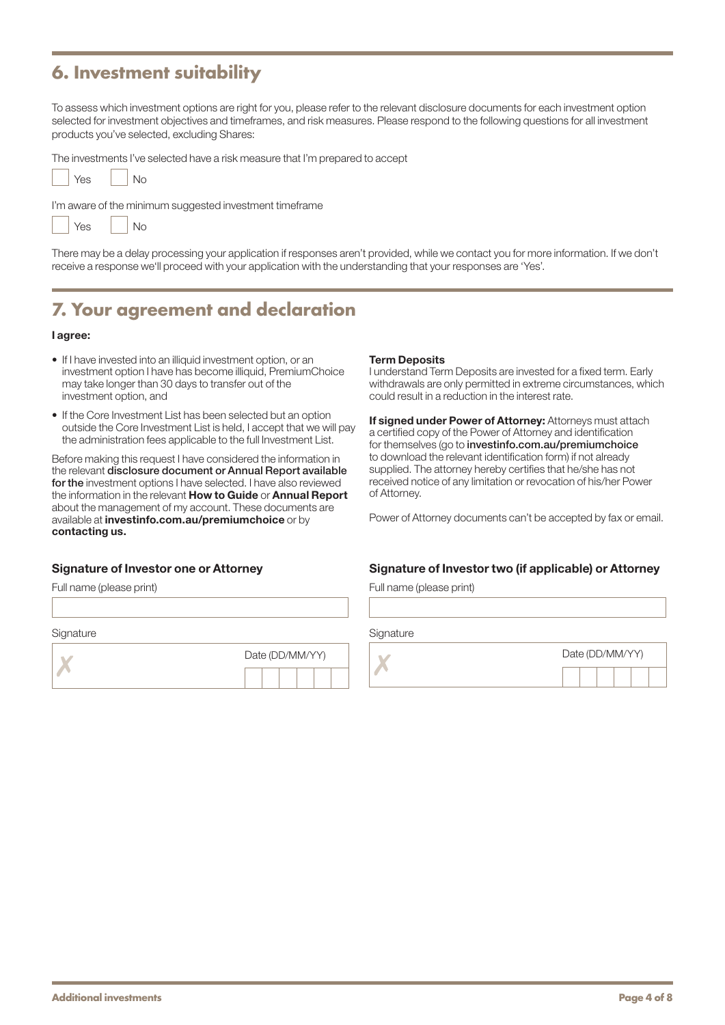### **6. Investment suitability**

To assess which investment options are right for you, please refer to the relevant disclosure documents for each investment option selected for investment objectives and timeframes, and risk measures. Please respond to the following questions for all investment products you've selected, excluding Shares:

The investments I've selected have a risk measure that I'm prepared to accept

| Yes | No |
|-----|----|
|     |    |

I'm aware of the minimum suggested investment timeframe

| <b>No</b><br>Yes |
|------------------|
|------------------|

There may be a delay processing your application if responses aren't provided, while we contact you for more information. If we don't receive a response we'll proceed with your application with the understanding that your responses are 'Yes'.

### **7. Your agreement and declaration**

#### I agree:

- If I have invested into an illiquid investment option, or an investment option I have has become illiquid, PremiumChoice may take longer than 30 days to transfer out of the investment option, and
- If the Core Investment List has been selected but an option outside the Core Investment List is held, I accept that we will pay the administration fees applicable to the full Investment List.

Before making this request I have considered the information in the relevant disclosure document or Annual Report available for the investment options I have selected. I have also reviewed the information in the relevant How to Guide or Annual Report about the management of my account. These documents are available at [investinfo.com.au/premiumchoice](http://investinfo.com.au/premiumchoice) or by contacting us.

#### Signature of Investor one or Attorney

Full name (please print)

**Signature** 



#### Term Deposits

I understand Term Deposits are invested for a fixed term. Early withdrawals are only permitted in extreme circumstances, which could result in a reduction in the interest rate.

If signed under Power of Attorney: Attorneys must attach a certified copy of the Power of Attorney and identification for themselves (go to [investinfo.com.au/premiumchoice](http://investinfo.com.au/premiumchoice) to download the relevant identification form) if not already supplied. The attorney hereby certifies that he/she has not received notice of any limitation or revocation of his/her Power of Attorney.

Power of Attorney documents can't be accepted by fax or email.

#### Signature of Investor two (if applicable) or Attorney

Full name (please print)

**Signature** 

|  |  | Date (DD/MM/YY) |  |  |  |  |  |
|--|--|-----------------|--|--|--|--|--|
|  |  |                 |  |  |  |  |  |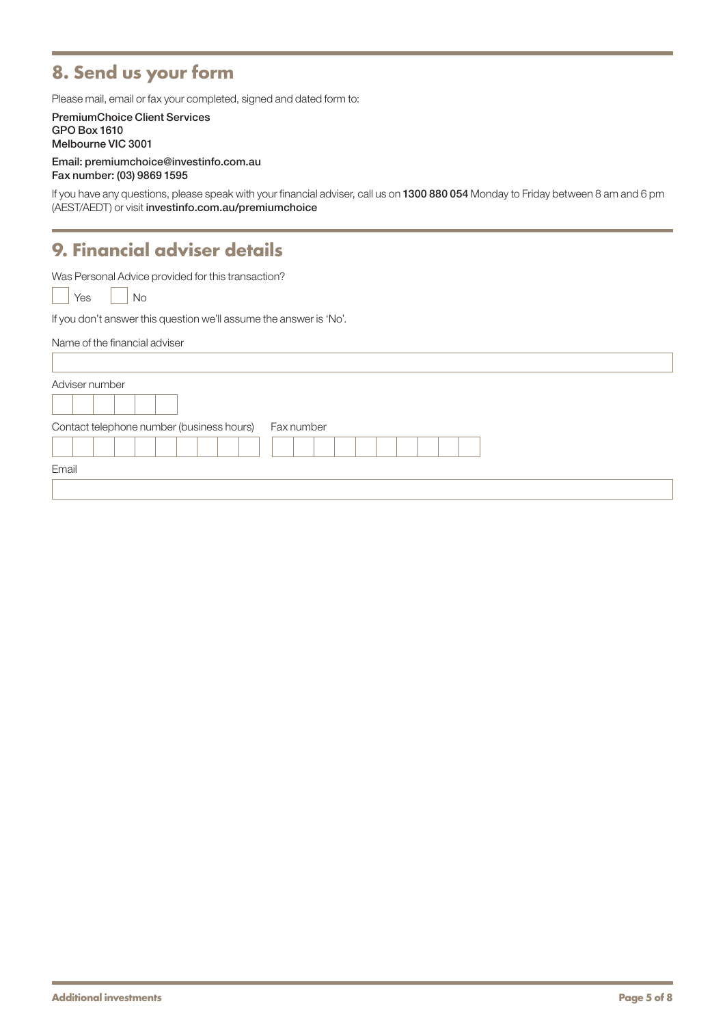# **8. Send us your form**

Please mail, email or fax your completed, signed and dated form to:

PremiumChoice Client Services GPO Box 1610 Melbourne VIC 3001

Email: [premiumchoice@investinfo.com.au](mailto:premiumchoice%40investinfo.com.au?subject=) Fax number: (03) 9869 1595

If you have any questions, please speak with your financial adviser, call us on 1300 880 054 Monday to Friday between 8 am and 6 pm (AEST/AEDT) or visit [investinfo.com.au/premiumchoice](http://investinfo.com.au/premiumchoice)

### **9. Financial adviser details**

Was Personal Advice provided for this transaction?

Yes | No

If you don't answer this question we'll assume the answer is 'No'.

| Name of the financial adviser                           |  |
|---------------------------------------------------------|--|
| Adviser number                                          |  |
| Contact telephone number (business hours)<br>Fax number |  |
| Email                                                   |  |
|                                                         |  |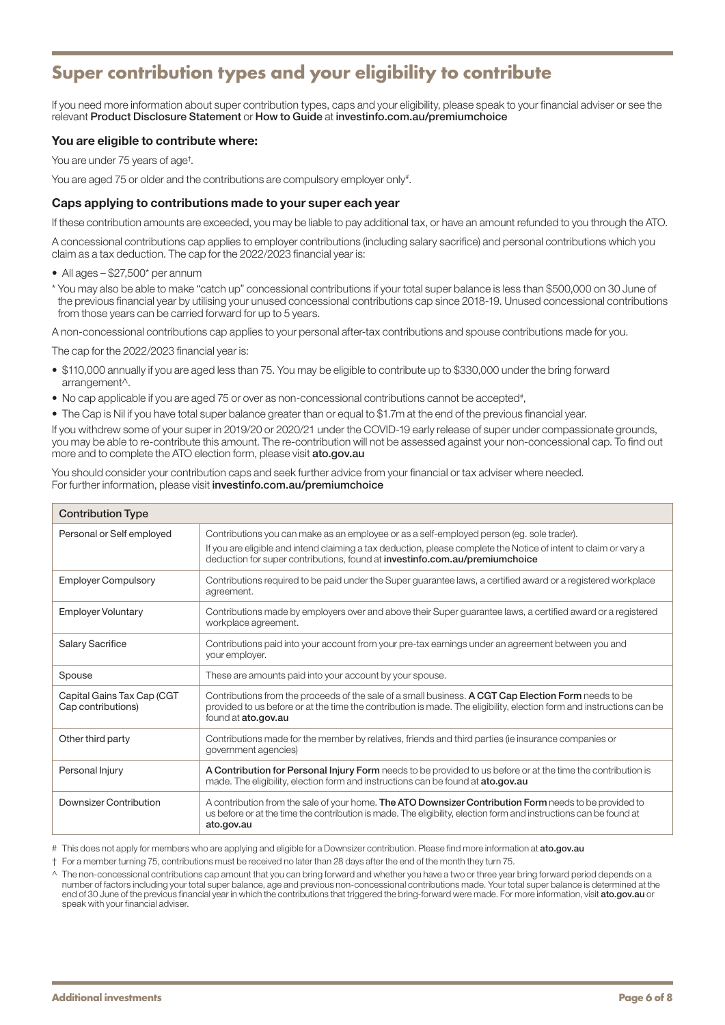# **Super contribution types and your eligibility to contribute**

If you need more information about super contribution types, caps and your eligibility, please speak to your financial adviser or see the relevant Product Disclosure Statement or How to Guide at [investinfo.com.au/premiumchoice](http://investinfo.com.au/premiumchoice)

#### You are eligible to contribute where:

You are under 75 years of age† .

You are aged 75 or older and the contributions are compulsory employer only<sup>#</sup>.

#### Caps applying to contributions made to your super each year

If these contribution amounts are exceeded, you may be liable to pay additional tax, or have an amount refunded to you through the ATO.

A concessional contributions cap applies to employer contributions (including salary sacrifice) and personal contributions which you claim as a tax deduction. The cap for the 2022/2023 financial year is:

- All ages \$27,500\* per annum
- \* You may also be able to make "catch up" concessional contributions if your total super balance is less than \$500,000 on 30 June of the previous financial year by utilising your unused concessional contributions cap since 2018-19. Unused concessional contributions from those years can be carried forward for up to 5 years.

A non-concessional contributions cap applies to your personal after-tax contributions and spouse contributions made for you.

The cap for the 2022/2023 financial year is:

- \$110,000 annually if you are aged less than 75. You may be eligible to contribute up to \$330,000 under the bring forward arrangement^.
- No cap applicable if you are aged 75 or over as non-concessional contributions cannot be accepted#,
- The Cap is Nil if you have total super balance greater than or equal to \$1.7m at the end of the previous financial year.

If you withdrew some of your super in 2019/20 or 2020/21 under the COVID-19 early release of super under compassionate grounds, you may be able to re-contribute this amount. The re-contribution will not be assessed against your non-concessional cap. To find out more and to complete the ATO election form, please visit [ato.gov.au](http://ato.gov.au)

You should consider your contribution caps and seek further advice from your financial or tax adviser where needed. For further information, please visit [investinfo.com.au/premiumchoice](http://investinfo.com.au/premiumchoice)

| <b>Contribution Type</b>                         |                                                                                                                                                                                                                                                                                              |  |  |  |
|--------------------------------------------------|----------------------------------------------------------------------------------------------------------------------------------------------------------------------------------------------------------------------------------------------------------------------------------------------|--|--|--|
| Personal or Self employed                        | Contributions you can make as an employee or as a self-employed person (eg. sole trader).<br>If you are eligible and intend claiming a tax deduction, please complete the Notice of intent to claim or vary a<br>deduction for super contributions, found at investinfo.com.au/premiumchoice |  |  |  |
| <b>Employer Compulsory</b>                       | Contributions required to be paid under the Super guarantee laws, a certified award or a registered workplace<br>agreement.                                                                                                                                                                  |  |  |  |
| <b>Employer Voluntary</b>                        | Contributions made by employers over and above their Super guarantee laws, a certified award or a registered<br>workplace agreement.                                                                                                                                                         |  |  |  |
| <b>Salary Sacrifice</b>                          | Contributions paid into your account from your pre-tax earnings under an agreement between you and<br>your employer.                                                                                                                                                                         |  |  |  |
| Spouse                                           | These are amounts paid into your account by your spouse.                                                                                                                                                                                                                                     |  |  |  |
| Capital Gains Tax Cap (CGT<br>Cap contributions) | Contributions from the proceeds of the sale of a small business. A CGT Cap Election Form needs to be<br>provided to us before or at the time the contribution is made. The eligibility, election form and instructions can be<br>found at ato.gov.au                                         |  |  |  |
| Other third party                                | Contributions made for the member by relatives, friends and third parties (ie insurance companies or<br>government agencies)                                                                                                                                                                 |  |  |  |
| Personal Injury                                  | A Contribution for Personal Injury Form needs to be provided to us before or at the time the contribution is<br>made. The eligibility, election form and instructions can be found at ato.gov.au                                                                                             |  |  |  |
| Downsizer Contribution                           | A contribution from the sale of your home. The ATO Downsizer Contribution Form needs to be provided to<br>us before or at the time the contribution is made. The eligibility, election form and instructions can be found at<br>ato.gov.au                                                   |  |  |  |

# This does not apply for members who are applying and eligible for a Downsizer contribution. Please find more information at [ato.gov.au](http://ato.gov.au)

† For a member turning 75, contributions must be received no later than 28 days after the end of the month they turn 75.

<sup>^</sup> The non-concessional contributions cap amount that you can bring forward and whether you have a two or three year bring forward period depends on a number of factors including your total super balance, age and previous non-concessional contributions made. Your total super balance is determined at the end of 30 June of the previous financial year in which the contributions that triggered the bring-forward were made. For more information, visit [ato.gov.au](http://ato.gov.au) or speak with your financial adviser.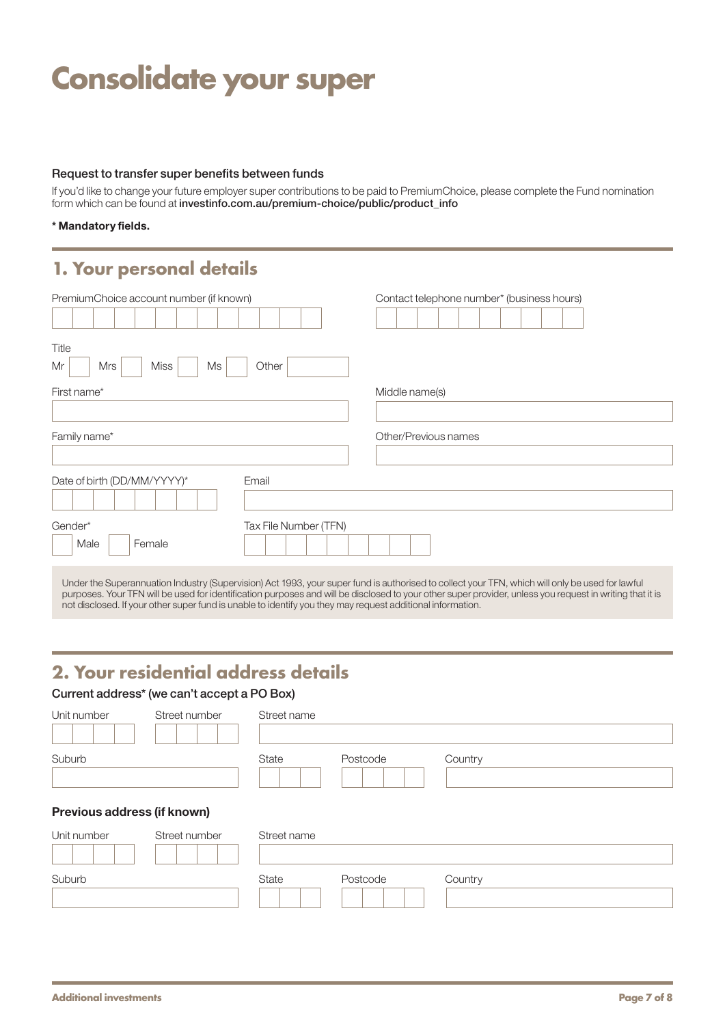# **Consolidate your super**

#### Request to transfer super benefits between funds

If you'd like to change your future employer super contributions to be paid to PremiumChoice, please complete the Fund nomination form which can be found at [investinfo.com.au/premium-choice/public/product\\_info](http://investinfo.com.au/premium-choice/public/product_info)

#### \* Mandatory fields.

### **1. Your personal details**

| PremiumChoice account number (if known)<br>Title |                       | Contact telephone number* (business hours) |
|--------------------------------------------------|-----------------------|--------------------------------------------|
| <b>Miss</b><br>Mr<br>Mrs<br>Ms                   | Other                 |                                            |
| First name*                                      |                       | Middle name(s)                             |
| Family name*                                     |                       | Other/Previous names                       |
| Date of birth (DD/MM/YYYY)*                      | Email                 |                                            |
| Gender*<br>Male<br>Female                        | Tax File Number (TFN) |                                            |

Under the Superannuation Industry (Supervision) Act 1993, your super fund is authorised to collect your TFN, which will only be used for lawful purposes. Your TFN will be used for identification purposes and will be disclosed to your other super provider, unless you request in writing that it is not disclosed. If your other super fund is unable to identify you they may request additional information.

### **2. Your residential address details**

#### Current address\* (we can't accept a PO Box)

| Unit number                 | Street number | Street name |          |         |
|-----------------------------|---------------|-------------|----------|---------|
| Suburb                      |               | State       | Postcode | Country |
| Previous address (if known) |               |             |          |         |
| Unit number                 | Street number | Street name |          |         |
| Suburb                      |               | State       | Postcode | Country |